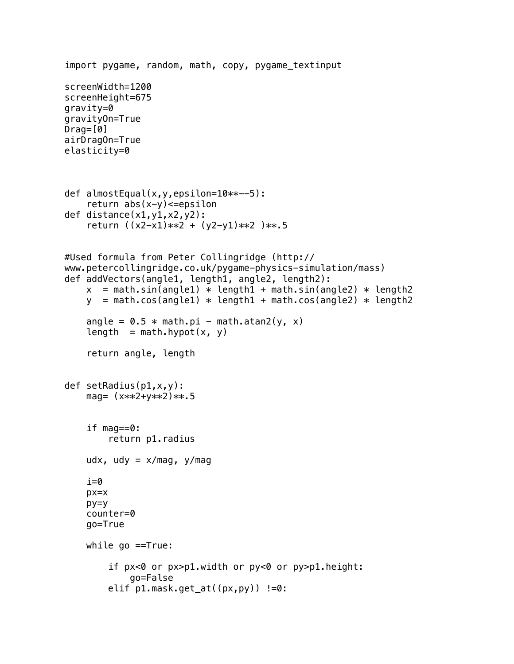```
import pygame, random, math, copy, pygame_textinput
screenWidth=1200
screenHeight=675
gravity=0
gravityOn=True
Draq=[0]airDragOn=True
elasticity=0
def almostEqual(x,y,epsilon=10**--5):
    return abs(x-y) \leq -epsilondef distance(x1,y1,x2,y2):
     return ((x2-x1)**2 + (y2-y1)**2 )**.5
#Used formula from Peter Collingridge (http://
www.petercollingridge.co.uk/pygame-physics-simulation/mass)
def addVectors(angle1, length1, angle2, length2):
    x = \text{math.sin(angle1) * length1 + math.sin(angle2) * length2y = \text{math.cos}(\text{angle1}) * \text{length1} + \text{math.cos}(\text{angle2}) * \text{length2}angle = 0.5 * \text{math.pi} - \text{math}.atan2(y, x)length = math.hypot(x, y)
     return angle, length
def setRadius(p1,x,y):
    mag= (x**2+y**2)**15 if mag==0:
          return p1.radius
    udx, udy = x/mag, y/magi=0 px=x
     py=y
     counter=0
     go=True
     while go ==True:
          if px<0 or px>p1.width or py<0 or py>p1.height:
              go=False
          elif p1.mask.get_at((px,py)) !=0:
```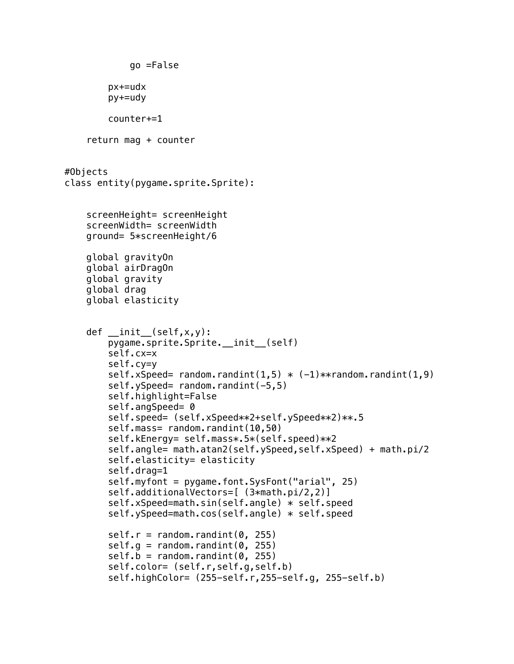```
 go =False
         px+=udx
         py+=udy
         counter+=1
     return mag + counter
#Objects
class entity(pygame.sprite.Sprite):
     screenHeight= screenHeight
     screenWidth= screenWidth
     ground= 5*screenHeight/6
     global gravityOn
     global airDragOn
     global gravity
     global drag
     global elasticity
    def init (self, x, y):
        pygame.sprite.Sprite.__init_(self)
         self.cx=x
         self.cy=y
        self.xSpeed= random.randint(1,5) * (-1)**random.randint(1,9)self.ySpeed= random.randint(-5,5)
         self.highlight=False
        self.angSpeed= 0
         self.speed= (self.xSpeed**2+self.ySpeed**2)**.5
        self.mass= random.randint(10,50)
         self.kEnergy= self.mass*.5*(self.speed)**2
         self.angle= math.atan2(self.ySpeed,self.xSpeed) + math.pi/2
         self.elasticity= elasticity
         self.drag=1
         self.myfont = pygame.font.SysFont("arial", 25)
         self.additionalVectors=[ (3*math.pi/2,2)]
         self.xSpeed=math.sin(self.angle) * self.speed
         self.ySpeed=math.cos(self.angle) * self.speed
        self.r = random.random(0, 255)self.g = random.random(0, 255)self.b = random.random(0, 255) self.color= (self.r,self.g,self.b)
         self.highColor= (255-self.r,255-self.g, 255-self.b)
```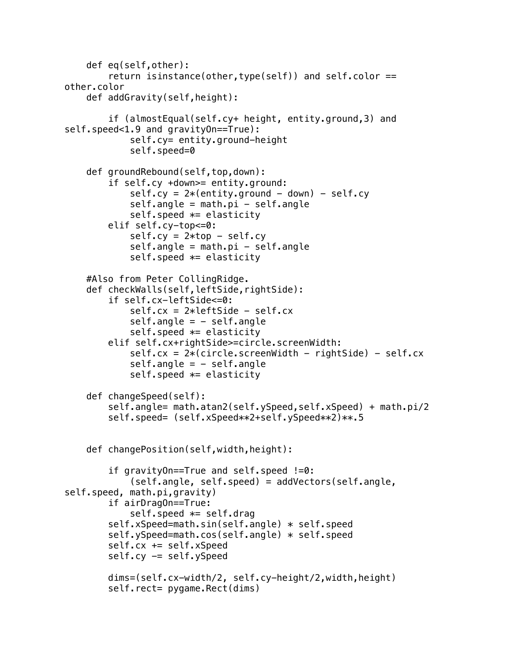```
 def eq(self,other):
         return isinstance(other,type(self)) and self.color == 
other.color
     def addGravity(self,height):
         if (almostEqual(self.cy+ height, entity.ground,3) and 
self.speed<1.9 and gravityOn==True):
             self.cy= entity.ground-height
             self.speed=0
     def groundRebound(self,top,down):
         if self.cy +down>= entity.ground:
            self.cy = 2*(entity.ground - down) - self.cyself. angle = math.pi - self.angle
            self.speed *= elasticity
         elif self.cy-top<=0:
            self.cy = 2*top - self.cyself.name = math.pi - self.name self.speed *= elasticity
     #Also from Peter CollingRidge.
     def checkWalls(self,leftSide,rightSide):
         if self.cx-leftSide<=0:
             self.cx = 2*leftSide - self.cx
            self.name = - self.nameself.\,speed \; * = \; elasticity elif self.cx+rightSide>=circle.screenWidth:
            self.cx = 2 * (circle.creenWidth - rightSide) - self.cxself.name = - self.nameself.speed *= elasticity
     def changeSpeed(self):
         self.angle= math.atan2(self.ySpeed,self.xSpeed) + math.pi/2
         self.speed= (self.xSpeed**2+self.ySpeed**2)**.5
     def changePosition(self,width,height):
         if gravityOn==True and self.speed !=0:
             (self.angle, self.speed) = addVectors(self.angle, 
self.speed, math.pi,gravity)
         if airDragOn==True:
            self.speed *= self.drag
         self.xSpeed=math.sin(self.angle) * self.speed
         self.ySpeed=math.cos(self.angle) * self.speed
         self.cx += self.xSpeed
        self.cy -= self.ySpeed
         dims=(self.cx-width/2, self.cy-height/2,width,height)
        self.rect= pygame.Rect(dims)
```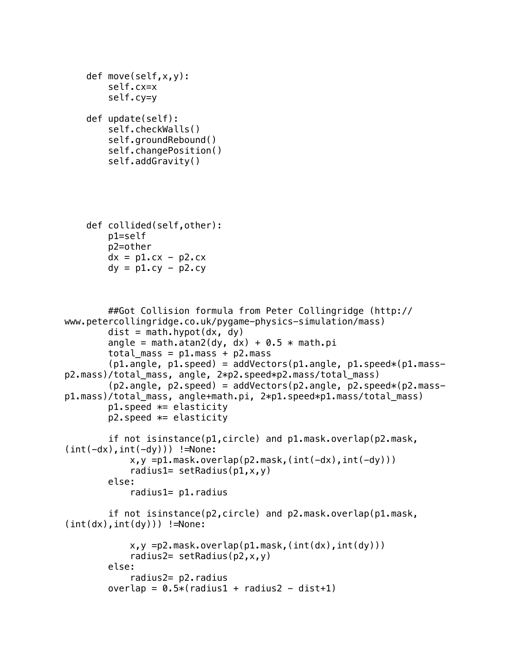```
 def move(self,x,y):
     self.cx=x
     self.cy=y
 def update(self):
     self.checkWalls()
     self.groundRebound()
     self.changePosition()
     self.addGravity()
 def collided(self,other):
     p1=self
     p2=other
    dx = p1. cx - p2. cxdy = p1.cy - p2.cy
```

```
 ##Got Collision formula from Peter Collingridge (http://
www.petercollingridge.co.uk/pygame-physics-simulation/mass)
        dist = math.hypot(dx, dy)angle = math.atan2(dy, dx) + 0.5 * math.pi
        total\_mass = p1.mass + p2.mass(p1.angle, p1.speed) = addVectors(p1.angle, p1.speed*(p1.mas-p2.mass)/total_mass, angle, 2*p2.speed*p2.mass/total_mass)
        (p2.\text{angle}, p2.\text{speed}) = addVectors(p2.\text{angle}, p2.\text{speed}*(p2.\text{mass}-p1.mass)/total_mass, angle+math.pi, 2*p1.speed*p1.mass/total_mass)
        p1.speed *= elasticity
        p2.speed *= elasticity
         if not isinstance(p1,circle) and p1.mask.overlap(p2.mask,
(int(-dx), int(-dy))) !=None:
             x, y = p1.mask.overlap(p2.mask,(int(-dx),int(-dy)))
             radius1= setRadius(p1, x, y)
         else:
              radius1= p1.radius
         if not isinstance(p2,circle) and p2.mask.overlap(p1.mask,
(int(dx), int(dy))) !=None:
             x, y = p2 \text{.} mask.overlap(p1 \text{.} mask, (int(dx), int(dy)))
             radius2= setRadius(p2, x, y)
         else:
              radius2= p2.radius
        overlap = 0.5*(radians1 + radians2 - dist+1)
```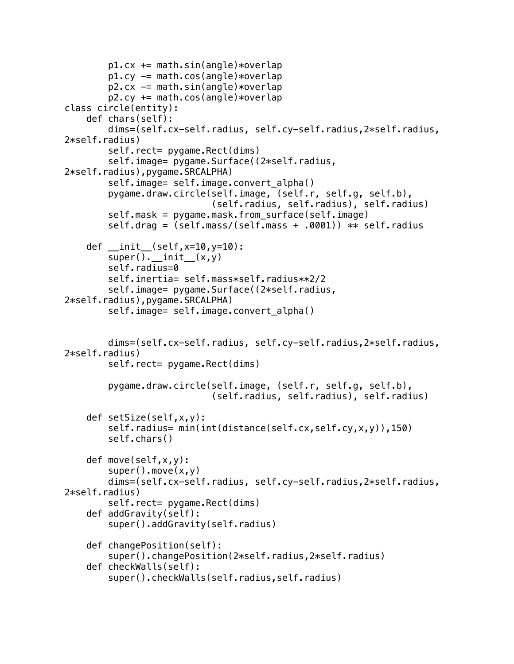```
p1.cx += math.sin(angle)*overlap
        p1.cy -= math.cos(angle)*overlapp2.cx -= math.sin(angle)*overlap
        p2.cy += math.cos(angle)*overlapclass circle(entity):
     def chars(self):
         dims=(self.cx-self.radius, self.cy-self.radius,2*self.radius,
2*self.radius)
        self.rect= pygame.Rect(dims)
        self.image= pygame.Surface((2*self.radius,
2*self.radius),pygame.SRCALPHA)
         self.image= self.image.convert_alpha()
         pygame.draw.circle(self.image, (self.r, self.g, self.b),
                             (self.radius, self.radius), self.radius)
         self.mask = pygame.mask.from_surface(self.image)
         self.drag = (self.mass/(self.mass + .0001)) ** self.radius
     def __init__(self,x=10,y=10):
        super() . _{init} (x,y) self.radius=0
         self.inertia= self.mass*self.radius**2/2
         self.image= pygame.Surface((2*self.radius,
2*self.radius),pygame.SRCALPHA)
        self.image= self.image.convert alpha()
         dims=(self.cx-self.radius, self.cy-self.radius,2*self.radius,
2*self.radius)
        self.rect= pygame.Rect(dims)
         pygame.draw.circle(self.image, (self.r, self.g, self.b),
                             (self.radius, self.radius), self.radius)
     def setSize(self,x,y):
         self.radius= min(int(distance(self.cx,self.cy,x,y)),150)
         self.chars()
     def move(self,x,y):
        super().move(x,y) dims=(self.cx-self.radius, self.cy-self.radius,2*self.radius,
2*self.radius)
        self.rect= pygame.Rect(dims)
     def addGravity(self):
         super().addGravity(self.radius)
     def changePosition(self):
         super().changePosition(2*self.radius,2*self.radius)
     def checkWalls(self):
         super().checkWalls(self.radius,self.radius)
```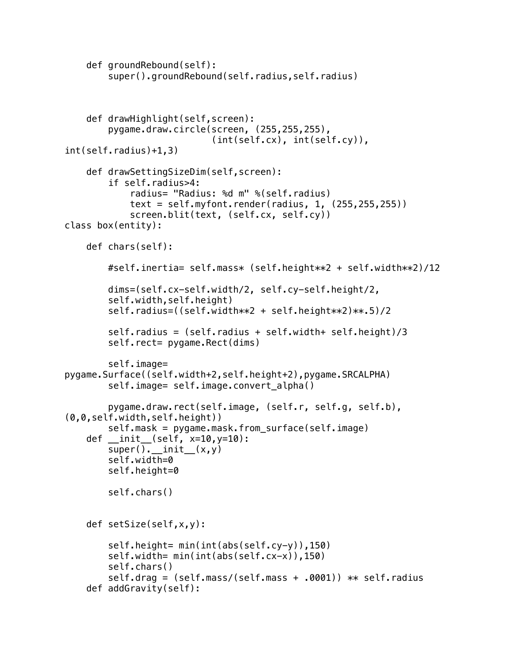```
 def groundRebound(self):
         super().groundRebound(self.radius,self.radius)
     def drawHighlight(self,screen):
         pygame.draw.circle(screen, (255,255,255),
                             (int(self.cx), int(self.cy)), 
int(self.radius)+1,3)
     def drawSettingSizeDim(self,screen):
         if self.radius>4:
             radius= "Radius: %d m" %(self.radius)
            text = self.myfont.render(radius, 1, (255, 255, 255))
             screen.blit(text, (self.cx, self.cy))
class box(entity):
     def chars(self):
         #self.inertia= self.mass* (self.height**2 + self.width**2)/12
         dims=(self.cx-self.width/2, self.cy-self.height/2,
         self.width,self.height)
         self.radius=((self.width**2 + self.height**2)**.5)/2
         self.radius = (self.radius + self.width+ self.height)/3
        self.rect= pygame.Rect(dims)
         self.image= 
pygame.Surface((self.width+2,self.height+2),pygame.SRCALPHA)
         self.image= self.image.convert_alpha()
         pygame.draw.rect(self.image, (self.r, self.g, self.b), 
(0,0,self.width,self.height))
         self.mask = pygame.mask.from_surface(self.image)
    def __init__(self, x=10,y=10):
        super(). init (x,y) self.width=0
         self.height=0
         self.chars()
     def setSize(self,x,y):
         self.height= min(int(abs(self.cy-y)),150)
         self.width= min(int(abs(self.cx-x)),150)
         self.chars()
         self.drag = (self.mass/(self.mass + .0001)) ** self.radius
     def addGravity(self):
```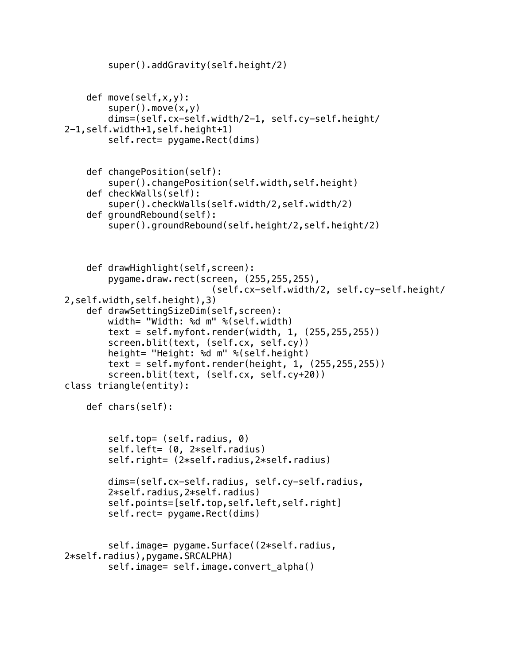```
 super().addGravity(self.height/2)
     def move(self,x,y):
        super().move(x,y) dims=(self.cx-self.width/2-1, self.cy-self.height/
2-1,self.width+1,self.height+1)
        self.rect= pygame.Rect(dims)
     def changePosition(self):
         super().changePosition(self.width,self.height)
     def checkWalls(self):
         super().checkWalls(self.width/2,self.width/2)
     def groundRebound(self):
         super().groundRebound(self.height/2,self.height/2)
     def drawHighlight(self,screen):
         pygame.draw.rect(screen, (255,255,255),
                             (self.cx-self.width/2, self.cy-self.height/
2,self.width,self.height),3)
     def drawSettingSizeDim(self,screen):
         width= "Width: %d m" %(self.width)
        text = self.myfont.render(width, 1, (255, 255, 255))
         screen.blit(text, (self.cx, self.cy))
         height= "Height: %d m" %(self.height)
        text = self.myfont.render(height, 1, (255, 255, 255))
         screen.blit(text, (self.cx, self.cy+20))
class triangle(entity):
     def chars(self):
         self.top= (self.radius, 0)
         self.left= (0, 2*self.radius)
         self.right= (2*self.radius,2*self.radius)
         dims=(self.cx-self.radius, self.cy-self.radius,
         2*self.radius,2*self.radius)
         self.points=[self.top,self.left,self.right]
        self.rect= pygame.Rect(dims)
         self.image= pygame.Surface((2*self.radius,
2*self.radius),pygame.SRCALPHA)
         self.image= self.image.convert_alpha()
```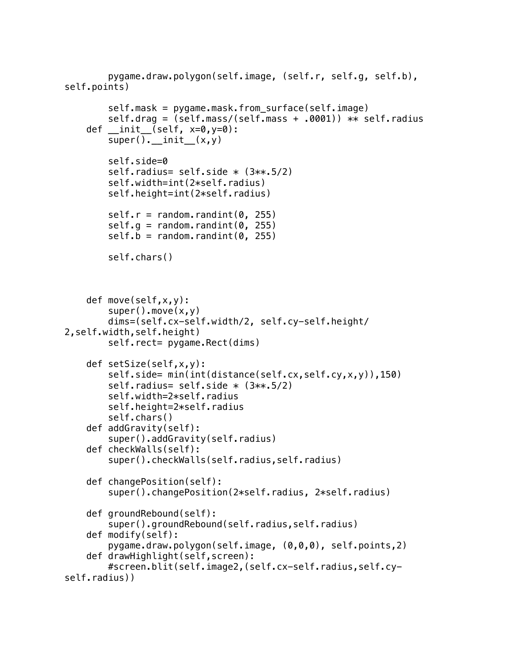```
 pygame.draw.polygon(self.image, (self.r, self.g, self.b), 
self.points)
        self.mask = pygame.mask.from surface(self.image)
         self.drag = (self.mass/(self.mass + .0001)) ** self.radius
    def init (self, x=0, y=0):
        super(). init (x,y) self.side=0
        self.radius= self.side * (3**.5/2) self.width=int(2*self.radius)
         self.height=int(2*self.radius)
        self.r = random.random(0, 255)self.g = random.randint(0, 255)self.b = random.random(0, 255) self.chars()
     def move(self,x,y):
        super() . move(x, y) dims=(self.cx-self.width/2, self.cy-self.height/
2,self.width,self.height)
        self.rect= pygame.Rect(dims)
     def setSize(self,x,y):
         self.side= min(int(distance(self.cx,self.cy,x,y)),150)
        self.radius= self.side * (3**.5/2) self.width=2*self.radius
         self.height=2*self.radius
         self.chars()
     def addGravity(self):
         super().addGravity(self.radius)
     def checkWalls(self):
         super().checkWalls(self.radius,self.radius)
     def changePosition(self):
         super().changePosition(2*self.radius, 2*self.radius)
     def groundRebound(self):
         super().groundRebound(self.radius,self.radius)
     def modify(self):
         pygame.draw.polygon(self.image, (0,0,0), self.points,2) 
     def drawHighlight(self,screen):
         #screen.blit(self.image2,(self.cx-self.radius,self.cy-
self.radius))
```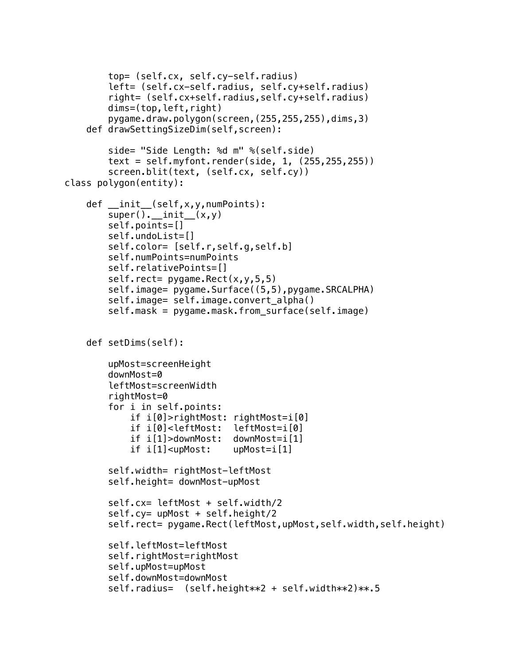```
 top= (self.cx, self.cy-self.radius)
         left= (self.cx-self.radius, self.cy+self.radius)
         right= (self.cx+self.radius,self.cy+self.radius)
         dims=(top,left,right)
         pygame.draw.polygon(screen,(255,255,255),dims,3)
     def drawSettingSizeDim(self,screen):
         side= "Side Length: %d m" %(self.side)
        text = self.myfont.render(side, 1, (255, 255, 255))
         screen.blit(text, (self.cx, self.cy))
class polygon(entity):
     def __init__(self,x,y,numPoints):
        super() . _{init}(x, y) self.points=[]
         self.undoList=[]
         self.color= [self.r,self.g,self.b]
         self.numPoints=numPoints
         self.relativePoints=[]
        self.rect= pygame.Rect(x, y, 5, 5)
        self.image= pygame.Surface((5,5),pygame.SRCALPHA)
         self.image= self.image.convert_alpha()
        self.mask = pygame.mask.from surface(self.image)
     def setDims(self):
         upMost=screenHeight
         downMost=0
         leftMost=screenWidth
         rightMost=0
         for i in self.points:
             if i[0]>rightMost: rightMost=i[0]
             if i[0]<leftMost: leftMost=i[0]
             if i[1]>downMost: downMost=i[1]
             if i[1]<upMost: upMost=i[1]
         self.width= rightMost-leftMost
         self.height= downMost-upMost
         self.cx= leftMost + self.width/2
         self.cy= upMost + self.height/2
         self.rect= pygame.Rect(leftMost,upMost,self.width,self.height)
         self.leftMost=leftMost
         self.rightMost=rightMost
         self.upMost=upMost
         self.downMost=downMost
        self.radius= (self.height**2 + self.width**2)**.5
```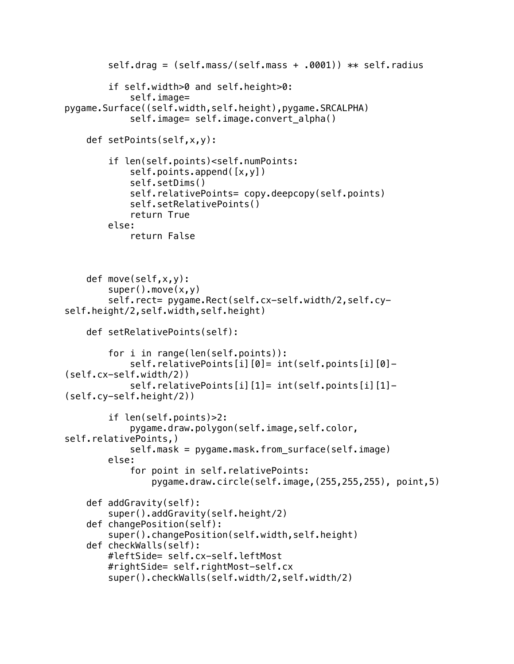```
 self.drag = (self.mass/(self.mass + .0001)) ** self.radius
         if self.width>0 and self.height>0:
             self.image= 
pygame.Surface((self.width,self.height),pygame.SRCALPHA)
            self.image= self.image.convert alpha()
     def setPoints(self,x,y):
         if len(self.points)<self.numPoints:
             self.points.append([x,y])
             self.setDims()
             self.relativePoints= copy.deepcopy(self.points)
             self.setRelativePoints()
             return True
         else:
             return False
     def move(self,x,y):
        super() . move(x, y)self.rect= pygame.Rect(self.cx-self.width/2,self.cy-
self.height/2,self.width,self.height)
     def setRelativePoints(self):
         for i in range(len(self.points)):
             self.relativePoints[i][0]= int(self.points[i][0]- 
(self.cx-self.width/2))
             self.relativePoints[i][1]= int(self.points[i][1]- 
(self.cy-self.height/2))
         if len(self.points)>2:
             pygame.draw.polygon(self.image,self.color, 
self.relativePoints,)
            self.mask = pygame.mask.from surface(self.image)
         else:
             for point in self.relativePoints:
                 pygame.draw.circle(self.image,(255,255,255), point,5)
     def addGravity(self):
         super().addGravity(self.height/2)
     def changePosition(self):
         super().changePosition(self.width,self.height)
     def checkWalls(self):
         #leftSide= self.cx-self.leftMost
         #rightSide= self.rightMost-self.cx
         super().checkWalls(self.width/2,self.width/2)
```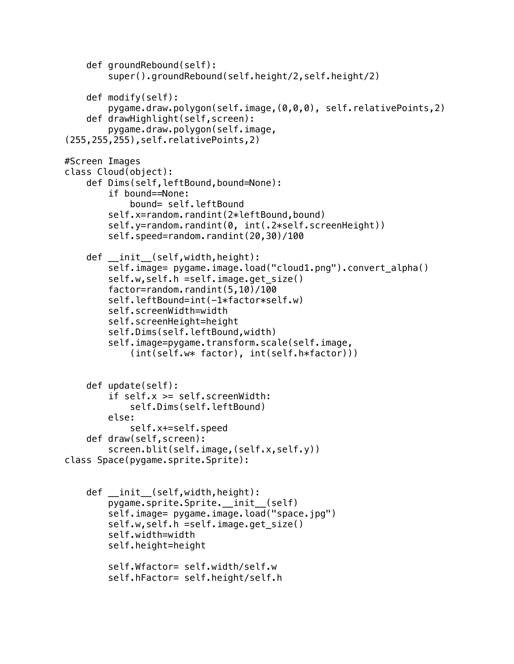```
 def groundRebound(self):
         super().groundRebound(self.height/2,self.height/2)
     def modify(self):
         pygame.draw.polygon(self.image,(0,0,0), self.relativePoints,2)
     def drawHighlight(self,screen):
         pygame.draw.polygon(self.image,
(255,255,255),self.relativePoints,2)
#Screen Images
class Cloud(object):
     def Dims(self,leftBound,bound=None):
         if bound==None:
             bound= self.leftBound
         self.x=random.randint(2*leftBound,bound)
         self.y=random.randint(0, int(.2*self.screenHeight))
        self.speed=random.randint(20,30)/100
     def __init__(self,width,height):
        self.image= pygame.image.load("cloud1.png").convert alpha()
         self.w,self.h =self.image.get_size()
        factor=random.randint(5,10)/100
        self.leftBound=int(-1*factor*self.w)
         self.screenWidth=width
         self.screenHeight=height
         self.Dims(self.leftBound,width)
         self.image=pygame.transform.scale(self.image, 
             (int(self.w* factor), int(self.h*factor)))
     def update(self):
         if self.x >= self.screenWidth:
             self.Dims(self.leftBound)
         else:
             self.x+=self.speed
     def draw(self,screen):
         screen.blit(self.image,(self.x,self.y))
class Space(pygame.sprite.Sprite):
     def __init__(self,width,height):
        pygame.sprite.Sprite. init (self)
        self.image= pygame.image.load("space.jpg")
         self.w,self.h =self.image.get_size()
         self.width=width
         self.height=height
         self.Wfactor= self.width/self.w
         self.hFactor= self.height/self.h
```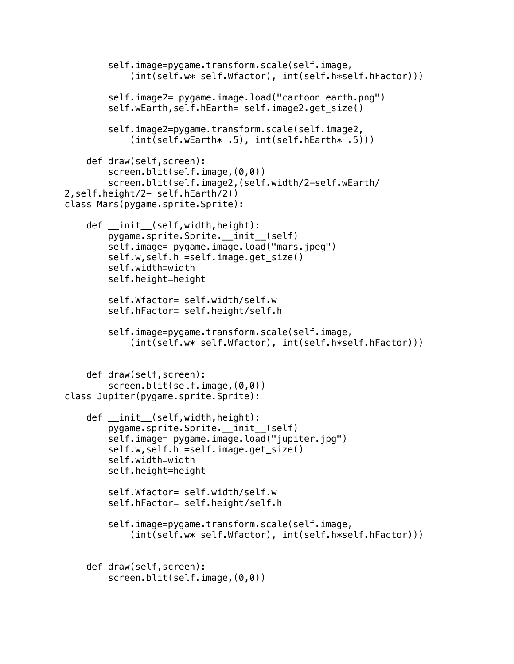```
 self.image=pygame.transform.scale(self.image, 
             (int(self.w* self.Wfactor), int(self.h*self.hFactor)))
         self.image2= pygame.image.load("cartoon earth.png")
         self.wEarth,self.hEarth= self.image2.get_size()
         self.image2=pygame.transform.scale(self.image2, 
            (int(self.wEarth* .5), int(self.hEarth* .5))) def draw(self,screen):
         screen.blit(self.image,(0,0))
         screen.blit(self.image2,(self.width/2-self.wEarth/
2,self.height/2- self.hEarth/2))
class Mars(pygame.sprite.Sprite):
     def __init__(self,width,height):
         pygame.sprite.Sprite.__init__(self)
         self.image= pygame.image.load("mars.jpeg")
         self.w,self.h =self.image.get_size()
         self.width=width
         self.height=height
         self.Wfactor= self.width/self.w
         self.hFactor= self.height/self.h
         self.image=pygame.transform.scale(self.image, 
             (int(self.w* self.Wfactor), int(self.h*self.hFactor)))
     def draw(self,screen):
         screen.blit(self.image,(0,0))
class Jupiter(pygame.sprite.Sprite):
     def __init__(self,width,height):
         pygame.sprite.Sprite.__init__(self)
         self.image= pygame.image.load("jupiter.jpg")
         self.w,self.h =self.image.get_size()
         self.width=width
         self.height=height
         self.Wfactor= self.width/self.w
         self.hFactor= self.height/self.h
         self.image=pygame.transform.scale(self.image, 
             (int(self.w* self.Wfactor), int(self.h*self.hFactor)))
     def draw(self,screen):
         screen.blit(self.image,(0,0))
```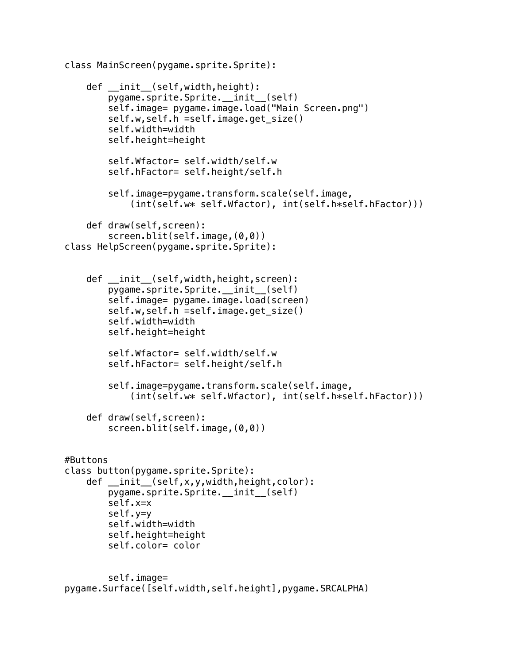class MainScreen(pygame.sprite.Sprite):

```
 def __init__(self,width,height):
         pygame.sprite.Sprite.__init__(self)
         self.image= pygame.image.load("Main Screen.png")
         self.w,self.h =self.image.get_size()
         self.width=width
         self.height=height
         self.Wfactor= self.width/self.w
         self.hFactor= self.height/self.h
         self.image=pygame.transform.scale(self.image, 
             (int(self.w* self.Wfactor), int(self.h*self.hFactor)))
     def draw(self,screen):
         screen.blit(self.image,(0,0))
class HelpScreen(pygame.sprite.Sprite):
    def __init_(self,width,height,screen):
        pygame.sprite.Sprite. init (self)
         self.image= pygame.image.load(screen)
         self.w,self.h =self.image.get_size()
         self.width=width
         self.height=height
         self.Wfactor= self.width/self.w
         self.hFactor= self.height/self.h
         self.image=pygame.transform.scale(self.image, 
             (int(self.w* self.Wfactor), int(self.h*self.hFactor)))
     def draw(self,screen):
         screen.blit(self.image,(0,0))
#Buttons
class button(pygame.sprite.Sprite):
     def __init__(self,x,y,width,height,color):
         pygame.sprite.Sprite.__init__(self)
         self.x=x
         self.y=y 
         self.width=width
         self.height=height
         self.color= color
         self.image= 
pygame.Surface([self.width,self.height],pygame.SRCALPHA)
```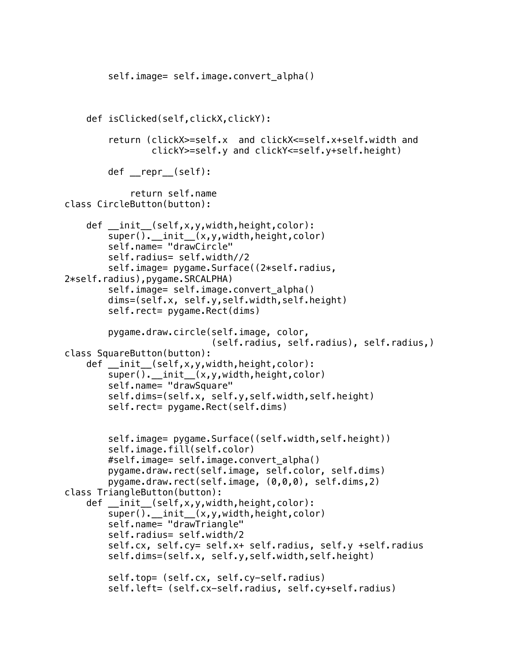```
self.image= self.image.convert alpha()
     def isClicked(self,clickX,clickY):
         return (clickX>=self.x and clickX<=self.x+self.width and 
                 clickY>=self.y and clickY<=self.y+self.height)
         def __repr__(self):
             return self.name
class CircleButton(button):
     def __init__(self,x,y,width,height,color):
        super(). __init_(x,y,width,height,color)
         self.name= "drawCircle"
         self.radius= self.width//2
        self.image= pygame.Surface((2*self.radius,
2*self.radius),pygame.SRCALPHA)
        self.image= self.image.convert alpha()
         dims=(self.x, self.y,self.width,self.height)
        self.rect= pygame.Rect(dims)
         pygame.draw.circle(self.image, color,
                             (self.radius, self.radius), self.radius,)
class SquareButton(button):
     def __init__(self,x,y,width,height,color):
        super(). init (x,y,width,height,color)
         self.name= "drawSquare"
         self.dims=(self.x, self.y,self.width,self.height)
        self.rect= pygame.Rect(self.dims)
         self.image= pygame.Surface((self.width,self.height))
         self.image.fill(self.color)
         #self.image= self.image.convert_alpha()
         pygame.draw.rect(self.image, self.color, self.dims)
         pygame.draw.rect(self.image, (0,0,0), self.dims,2)
class TriangleButton(button):
     def __init__(self,x,y,width,height,color):
        super(). __init__(x,y,width,height,color)
         self.name= "drawTriangle"
         self.radius= self.width/2
         self.cx, self.cy= self.x+ self.radius, self.y +self.radius
         self.dims=(self.x, self.y,self.width,self.height)
         self.top= (self.cx, self.cy-self.radius)
         self.left= (self.cx-self.radius, self.cy+self.radius)
```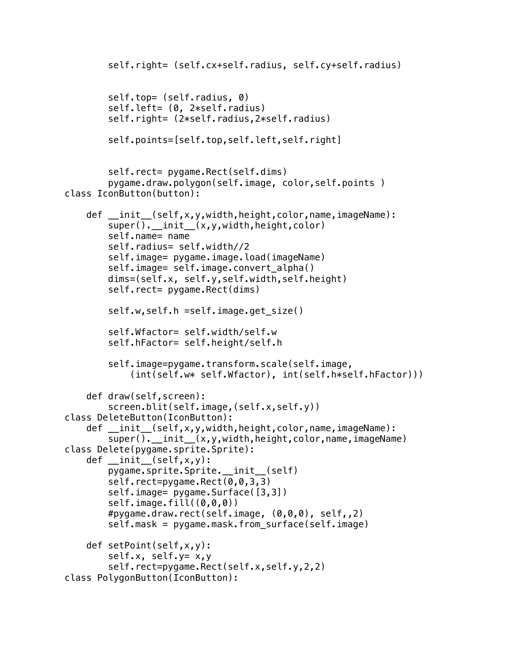```
 self.right= (self.cx+self.radius, self.cy+self.radius)
         self.top= (self.radius, 0)
         self.left= (0, 2*self.radius)
         self.right= (2*self.radius,2*self.radius)
         self.points=[self.top,self.left,self.right]
        self.rect= pygame.Rect(self.dims)
         pygame.draw.polygon(self.image, color,self.points )
class IconButton(button):
     def __init__(self,x,y,width,height,color,name,imageName):
         super().__init__(x,y,width,height,color)
         self.name= name
         self.radius= self.width//2
         self.image= pygame.image.load(imageName)
         self.image= self.image.convert_alpha()
         dims=(self.x, self.y,self.width,self.height)
        self.rect= pygame.Rect(dims)
         self.w,self.h =self.image.get_size()
         self.Wfactor= self.width/self.w
         self.hFactor= self.height/self.h
         self.image=pygame.transform.scale(self.image, 
             (int(self.w* self.Wfactor), int(self.h*self.hFactor)))
     def draw(self,screen):
        screen.blit(self.image,(self.x,self.y))
class DeleteButton(IconButton):
     def __init__(self,x,y,width,height,color,name,imageName):
        super(). __init__(x,y,width,height,color,name,imageName)
class Delete(pygame.sprite.Sprite):
     def __init__(self,x,y):
        pygame.sprite.Sprite. init (self)
        self.rect=pygame.Rect(0,0,3,3)
         self.image= pygame.Surface([3,3])
         self.image.fill((0,0,0))
         #pygame.draw.rect(self.image, (0,0,0), self,,2)
         self.mask = pygame.mask.from_surface(self.image)
     def setPoint(self,x,y):
         self.x, self.y= x,y
         self.rect=pygame.Rect(self.x,self.y,2,2)
class PolygonButton(IconButton):
```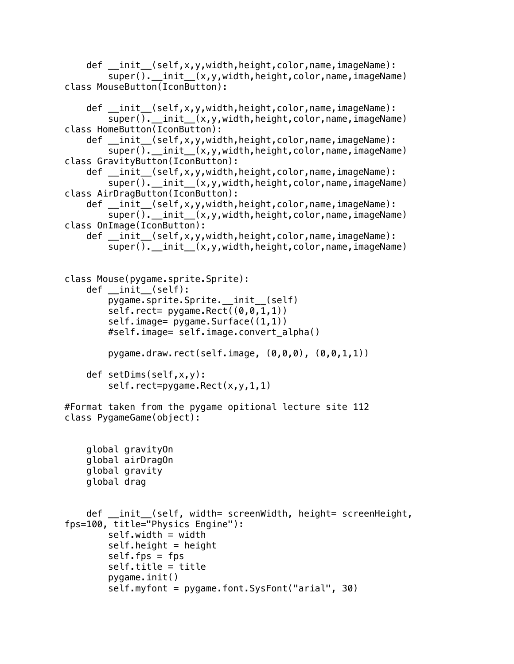```
 def __init__(self,x,y,width,height,color,name,imageName):
        super(). __init__(x,y,width,height,color,name,imageName)
class MouseButton(IconButton):
    def init (self,x,y,width,height,color,name,imageName):
        super().__init__(x,y,width,height,color,name,imageName)
class HomeButton(IconButton):
     def __init__(self,x,y,width,height,color,name,imageName):
         super().__init__(x,y,width,height,color,name,imageName)
class GravityButton(IconButton):
    def __init_(self,x,y,width,height,color,name,imageName):
        super().__init__(x,y,width,height,color,name,imageName)
class AirDragButton(IconButton):
     def __init__(self,x,y,width,height,color,name,imageName):
         super().__init__(x,y,width,height,color,name,imageName)
class OnImage(IconButton):
     def __init__(self,x,y,width,height,color,name,imageName):
        super(). init (x,y,width,height,color,name,imageName)
class Mouse(pygame.sprite.Sprite):
    def __ init (self):
         pygame.sprite.Sprite.__init__(self)
        self.rect= pyqame.Rect((0, 0, 1, 1))self.image= pygame.Surface((1,1))
         #self.image= self.image.convert_alpha()
         pygame.draw.rect(self.image, (0,0,0), (0,0,1,1))
     def setDims(self,x,y):
        self.rect=pygame.Rect(x,y,1,1)
#Format taken from the pygame opitional lecture site 112
class PygameGame(object):
     global gravityOn
     global airDragOn
     global gravity
     global drag
     def __init__(self, width= screenWidth, height= screenHeight, 
fps=100, title="Physics Engine"):
         self.width = width
        self. height = heightself.fps = fps self.title = title
         pygame.init()
         self.myfont = pygame.font.SysFont("arial", 30)
```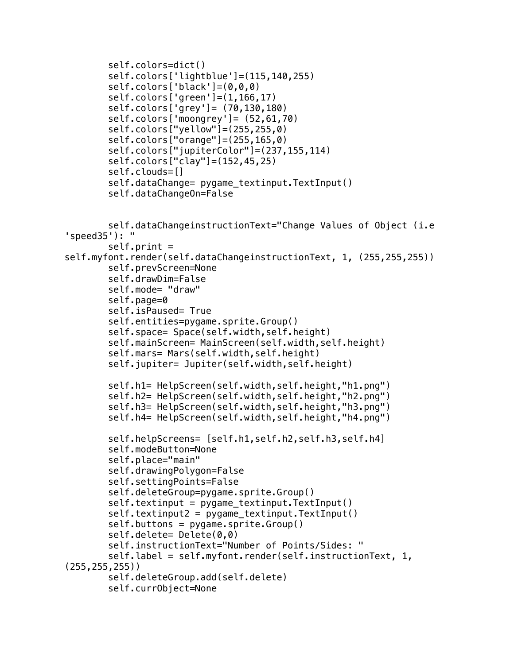```
 self.colors=dict()
         self.colors['lightblue']=(115,140,255)
         self.colors['black']=(0,0,0)
         self.colors['green']=(1,166,17)
         self.colors['grey']= (70,130,180)
         self.colors['moongrey']= (52,61,70)
         self.colors["yellow"]=(255,255,0)
         self.colors["orange"]=(255,165,0)
         self.colors["jupiterColor"]=(237,155,114)
         self.colors["clay"]=(152,45,25)
         self.clouds=[]
         self.dataChange= pygame_textinput.TextInput()
         self.dataChangeOn=False
         self.dataChangeinstructionText="Change Values of Object (i.e 
'speed35'): "
         self.print = 
self.myfont.render(self.dataChangeinstructionText, 1, (255,255,255))
         self.prevScreen=None
         self.drawDim=False
         self.mode= "draw"
         self.page=0
         self.isPaused= True
         self.entities=pygame.sprite.Group()
         self.space= Space(self.width,self.height)
         self.mainScreen= MainScreen(self.width,self.height)
         self.mars= Mars(self.width,self.height)
         self.jupiter= Jupiter(self.width,self.height)
         self.h1= HelpScreen(self.width,self.height,"h1.png")
         self.h2= HelpScreen(self.width,self.height,"h2.png")
         self.h3= HelpScreen(self.width,self.height,"h3.png")
         self.h4= HelpScreen(self.width,self.height,"h4.png")
         self.helpScreens= [self.h1,self.h2,self.h3,self.h4]
         self.modeButton=None
         self.place="main"
         self.drawingPolygon=False
         self.settingPoints=False
         self.deleteGroup=pygame.sprite.Group()
        self.textinput = pygame textinput.TextInput()
         self.textinput2 = pygame_textinput.TextInput()
        self.buttons = pygame.sprite.Group() self.delete= Delete(0,0)
         self.instructionText="Number of Points/Sides: "
         self.label = self.myfont.render(self.instructionText, 1, 
(255,255,255))
         self.deleteGroup.add(self.delete)
         self.currObject=None
```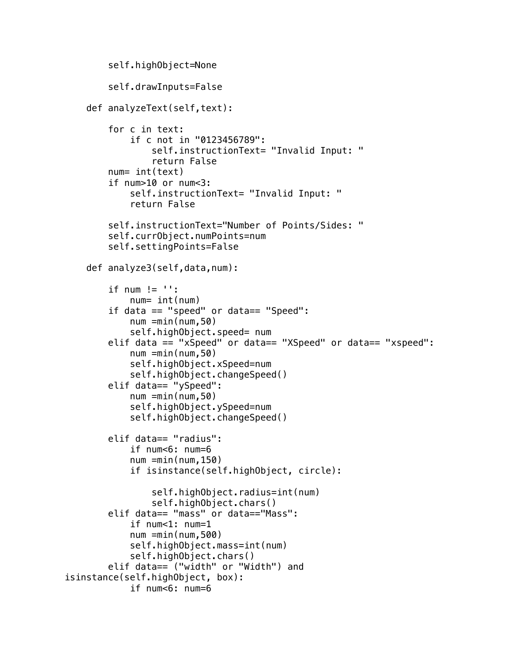```
 self.highObject=None
         self.drawInputs=False
     def analyzeText(self,text):
         for c in text:
             if c not in "0123456789":
                 self.instructionText= "Invalid Input: "
                 return False
         num= int(text)
         if num>10 or num<3:
             self.instructionText= "Invalid Input: "
             return False
         self.instructionText="Number of Points/Sides: "
         self.currObject.numPoints=num
         self.settingPoints=False
     def analyze3(self,data,num):
        if num != '': num= int(num)
         if data == "speed" or data== "Speed": 
             num =min(num,50)
             self.highObject.speed= num
         elif data == "xSpeed" or data== "XSpeed" or data== "xspeed":
            num =min(num,50) self.highObject.xSpeed=num
             self.highObject.changeSpeed()
         elif data== "ySpeed":
            num =min(num,50) self.highObject.ySpeed=num
             self.highObject.changeSpeed()
         elif data== "radius":
             if num<6: num=6
            num =min(num, 150) if isinstance(self.highObject, circle):
                 self.highObject.radius=int(num)
                 self.highObject.chars()
         elif data== "mass" or data=="Mass":
             if num<1: num=1
             num =min(num,500)
             self.highObject.mass=int(num)
             self.highObject.chars()
         elif data== ("width" or "Width") and 
isinstance(self.highObject, box):
             if num<6: num=6
```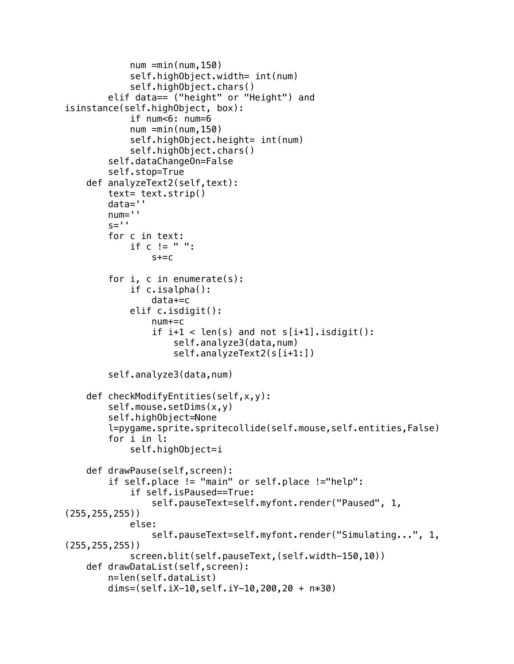```
num =min(num, 150) self.highObject.width= int(num)
             self.highObject.chars()
         elif data== ("height" or "Height") and 
isinstance(self.highObject, box):
             if num<6: num=6
            num =min(num, 150) self.highObject.height= int(num)
             self.highObject.chars()
         self.dataChangeOn=False
         self.stop=True
     def analyzeText2(self,text):
         text= text.strip()
         data=''
         num=''
        s=<sup>\overline{ }</sup>
         for c in text:
            if c := " "s+=c for i, c in enumerate(s):
             if c.isalpha():
                  data+=c
             elif c.isdigit():
                 num += cif i+1 < len(s) and not s[i+1]. isdigit():
                      self.analyze3(data,num)
                      self.analyzeText2(s[i+1:])
         self.analyze3(data,num)
     def checkModifyEntities(self,x,y):
         self.mouse.setDims(x,y)
         self.highObject=None
         l=pygame.sprite.spritecollide(self.mouse,self.entities,False)
         for i in l:
             self.highObject=i
     def drawPause(self,screen):
         if self.place != "main" or self.place !="help":
              if self.isPaused==True:
                 self.pauseText=self.myfont.render("Paused", 1,
(255,255,255))
             else:
                  self.pauseText=self.myfont.render("Simulating...", 1, 
(255,255,255))
             screen.blit(self.pauseText,(self.width-150,10))
     def drawDataList(self,screen):
         n=len(self.dataList)
         dims=(self.iX-10,self.iY-10,200,20 + n*30)
```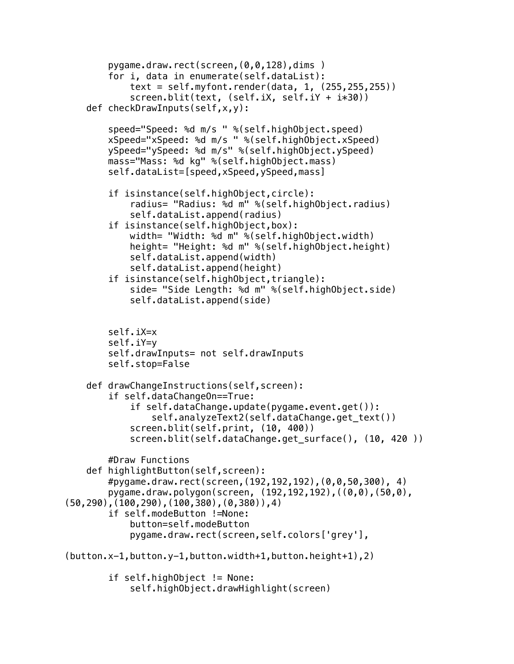```
 pygame.draw.rect(screen,(0,0,128),dims )
         for i, data in enumerate(self.dataList):
             text = self.myfont.render(data, 1, (255,255,255))
             screen.blit(text, (self.iX, self.iY + i*30))
     def checkDrawInputs(self,x,y):
         speed="Speed: %d m/s " %(self.highObject.speed)
         xSpeed="xSpeed: %d m/s " %(self.highObject.xSpeed)
         ySpeed="ySpeed: %d m/s" %(self.highObject.ySpeed)
         mass="Mass: %d kg" %(self.highObject.mass)
         self.dataList=[speed,xSpeed,ySpeed,mass]
         if isinstance(self.highObject,circle):
             radius= "Radius: %d m" %(self.highObject.radius)
             self.dataList.append(radius)
         if isinstance(self.highObject,box):
             width= "Width: %d m" %(self.highObject.width)
             height= "Height: %d m" %(self.highObject.height)
             self.dataList.append(width)
             self.dataList.append(height)
         if isinstance(self.highObject,triangle):
             side= "Side Length: %d m" %(self.highObject.side)
             self.dataList.append(side)
         self.iX=x
         self.iY=y
         self.drawInputs= not self.drawInputs
         self.stop=False
    def drawChangeInstructions(self,screen):
         if self.dataChangeOn==True:
             if self.dataChange.update(pygame.event.get()):
                 self.analyzeText2(self.dataChange.get_text())
             screen.blit(self.print, (10, 400))
            screen.blit(self.dataChange.get_surface(), (10, 420 ))
         #Draw Functions
     def highlightButton(self,screen):
         #pygame.draw.rect(screen,(192,192,192),(0,0,50,300), 4)
         pygame.draw.polygon(screen, (192,192,192),((0,0),(50,0),
(50,290),(100,290),(100,380),(0,380)),4)
         if self.modeButton !=None:
             button=self.modeButton
             pygame.draw.rect(screen,self.colors['grey'],
(button.x-1,button.y-1,button.width+1,button.height+1),2)
         if self.highObject != None:
             self.highObject.drawHighlight(screen)
```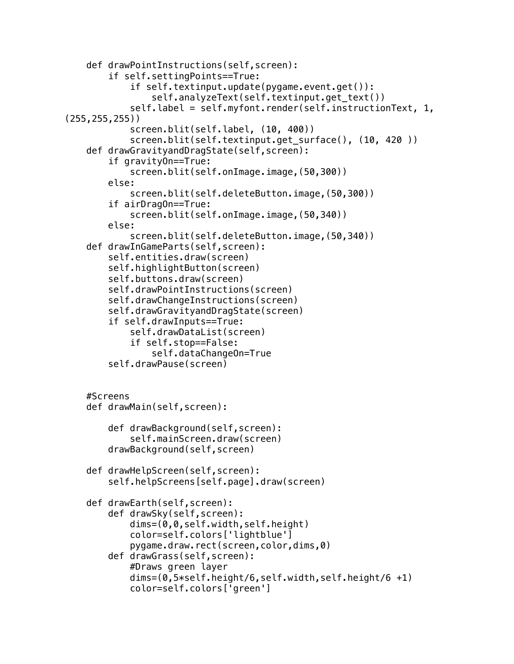```
 def drawPointInstructions(self,screen):
         if self.settingPoints==True:
             if self.textinput.update(pygame.event.get()):
                 self.analyzeText(self.textinput.get_text())
             self.label = self.myfont.render(self.instructionText, 1, 
(255,255,255))
             screen.blit(self.label, (10, 400))
            screen.blit(self.textinput.get_surface(), (10, 420 ))
     def drawGravityandDragState(self,screen):
         if gravityOn==True:
             screen.blit(self.onImage.image,(50,300))
         else:
             screen.blit(self.deleteButton.image,(50,300))
         if airDragOn==True:
             screen.blit(self.onImage.image,(50,340))
         else:
             screen.blit(self.deleteButton.image,(50,340))
     def drawInGameParts(self,screen):
         self.entities.draw(screen)
         self.highlightButton(screen)
         self.buttons.draw(screen)
         self.drawPointInstructions(screen)
         self.drawChangeInstructions(screen)
         self.drawGravityandDragState(screen)
         if self.drawInputs==True:
             self.drawDataList(screen)
             if self.stop==False:
                 self.dataChangeOn=True
         self.drawPause(screen)
     #Screens 
     def drawMain(self,screen):
         def drawBackground(self,screen):
             self.mainScreen.draw(screen)
         drawBackground(self,screen)
     def drawHelpScreen(self,screen):
         self.helpScreens[self.page].draw(screen)
     def drawEarth(self,screen):
         def drawSky(self,screen):
             dims=(0,0,self.width,self.height)
             color=self.colors['lightblue']
             pygame.draw.rect(screen,color,dims,0)
         def drawGrass(self,screen):
             #Draws green layer
             dims=(0,5*self.height/6,self.width,self.height/6 +1)
             color=self.colors['green']
```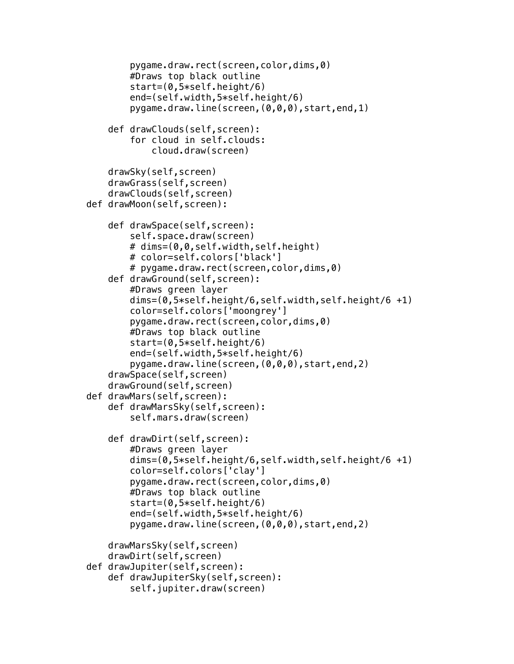```
 pygame.draw.rect(screen,color,dims,0)
         #Draws top black outline
         start=(0,5*self.height/6)
         end=(self.width,5*self.height/6)
         pygame.draw.line(screen,(0,0,0),start,end,1)
     def drawClouds(self,screen):
         for cloud in self.clouds:
             cloud.draw(screen)
     drawSky(self,screen)
     drawGrass(self,screen)
     drawClouds(self,screen)
 def drawMoon(self,screen):
     def drawSpace(self,screen):
         self.space.draw(screen)
         # dims=(0,0,self.width,self.height)
         # color=self.colors['black']
         # pygame.draw.rect(screen,color,dims,0)
     def drawGround(self,screen):
         #Draws green layer
         dims=(0,5*self.height/6,self.width,self.height/6 +1)
         color=self.colors['moongrey']
         pygame.draw.rect(screen,color,dims,0)
         #Draws top black outline
         start=(0,5*self.height/6)
         end=(self.width,5*self.height/6)
         pygame.draw.line(screen,(0,0,0),start,end,2)
     drawSpace(self,screen)
     drawGround(self,screen)
 def drawMars(self,screen):
     def drawMarsSky(self,screen):
         self.mars.draw(screen)
     def drawDirt(self,screen):
         #Draws green layer
         dims=(0,5*self.height/6,self.width,self.height/6 +1)
         color=self.colors['clay']
         pygame.draw.rect(screen,color,dims,0)
         #Draws top black outline
         start=(0,5*self.height/6)
         end=(self.width,5*self.height/6)
         pygame.draw.line(screen,(0,0,0),start,end,2)
     drawMarsSky(self,screen)
     drawDirt(self,screen)
 def drawJupiter(self,screen):
     def drawJupiterSky(self,screen):
         self.jupiter.draw(screen)
```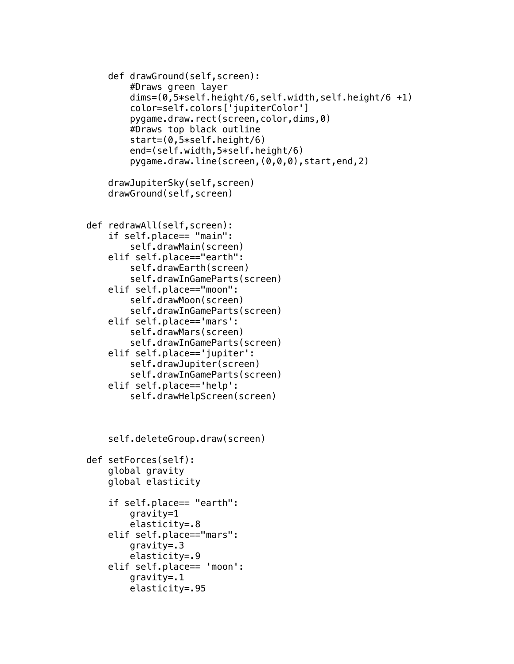```
 def drawGround(self,screen):
         #Draws green layer
         dims=(0,5*self.height/6,self.width,self.height/6 +1)
         color=self.colors['jupiterColor']
         pygame.draw.rect(screen,color,dims,0)
         #Draws top black outline
         start=(0,5*self.height/6)
         end=(self.width,5*self.height/6)
         pygame.draw.line(screen,(0,0,0),start,end,2)
     drawJupiterSky(self,screen)
     drawGround(self,screen)
 def redrawAll(self,screen):
     if self.place== "main":
         self.drawMain(screen)
     elif self.place=="earth":
         self.drawEarth(screen)
         self.drawInGameParts(screen)
     elif self.place=="moon":
         self.drawMoon(screen)
         self.drawInGameParts(screen)
     elif self.place=='mars':
         self.drawMars(screen)
         self.drawInGameParts(screen)
     elif self.place=='jupiter':
         self.drawJupiter(screen)
         self.drawInGameParts(screen)
     elif self.place=='help':
         self.drawHelpScreen(screen)
     self.deleteGroup.draw(screen)
 def setForces(self):
     global gravity
     global elasticity
     if self.place== "earth":
         gravity=1
         elasticity=.8
     elif self.place=="mars":
         gravity=.3
         elasticity=.9
     elif self.place== 'moon':
         gravity=.1
         elasticity=.95
```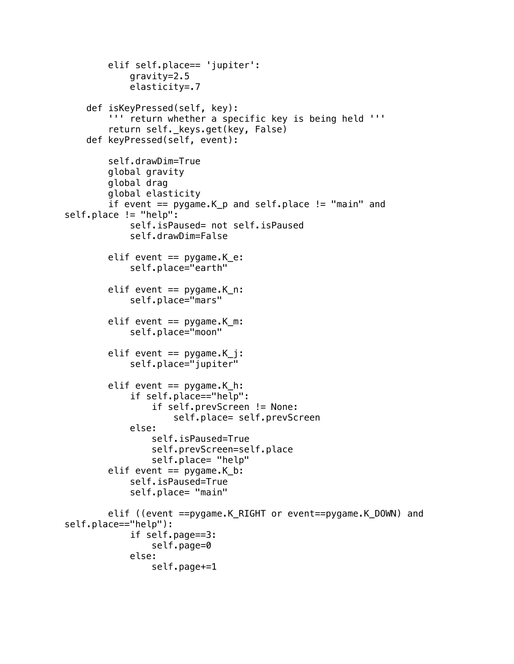```
 elif self.place== 'jupiter':
             gravity=2.5
             elasticity=.7
     def isKeyPressed(self, key):
         ''' return whether a specific key is being held '''
        return self. keys.get(key, False)
     def keyPressed(self, event):
         self.drawDim=True
         global gravity
         global drag
         global elasticity
         if event == pygame.K_p and self.place != "main" and 
self.place != "help":
             self.isPaused= not self.isPaused
             self.drawDim=False
        elif event == pygame.K_e:
             self.place="earth"
        elif event == pygame. K_n:
             self.place="mars"
        elif event == pygame. K_m:
             self.place="moon"
        elif event == pygame.K_i:
             self.place="jupiter"
        elif event = pygame.K_h:
             if self.place=="help":
                 if self.prevScreen != None:
                      self.place= self.prevScreen
             else:
                  self.isPaused=True
                 self.prevScreen=self.place
                 self.place= "help"
        elif event == pygame.K_b:
             self.isPaused=True
             self.place= "main"
         elif ((event ==pygame.K_RIGHT or event==pygame.K_DOWN) and 
self.place=="help"):
             if self.page==3:
                 self.page=0
             else:
                 self.page+=1
```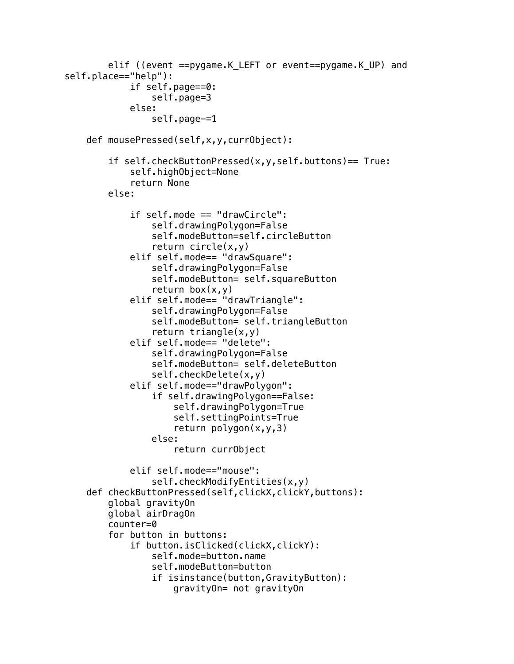```
elif ((event ==pygame.K LEFT or event==pygame.K UP) and
self.place=="help"):
             if self.page==0:
                 self.page=3
             else:
                 self.page-=1
     def mousePressed(self,x,y,currObject):
         if self.checkButtonPressed(x,y,self.buttons)== True:
             self.highObject=None
             return None
         else:
             if self.mode == "drawCircle":
                 self.drawingPolygon=False
                 self.modeButton=self.circleButton
                 return circle(x,y)
             elif self.mode== "drawSquare":
                 self.drawingPolygon=False
                 self.modeButton= self.squareButton
                return box(x,y) elif self.mode== "drawTriangle":
                 self.drawingPolygon=False
                 self.modeButton= self.triangleButton
                 return triangle(x,y) elif self.mode== "delete":
                 self.drawingPolygon=False
                 self.modeButton= self.deleteButton
                 self.checkDelete(x,y)
             elif self.mode=="drawPolygon":
                 if self.drawingPolygon==False:
                      self.drawingPolygon=True
                      self.settingPoints=True
                      return polygon(x,y,3)
                 else:
                      return currObject
             elif self.mode=="mouse":
                 self.checkModifyEntities(x,y)
    def checkButtonPressed(self,clickX,clickY,buttons):
         global gravityOn
         global airDragOn
         counter=0
         for button in buttons:
             if button.isClicked(clickX,clickY):
                 self.mode=button.name
                 self.modeButton=button
                 if isinstance(button,GravityButton):
                      gravityOn= not gravityOn
```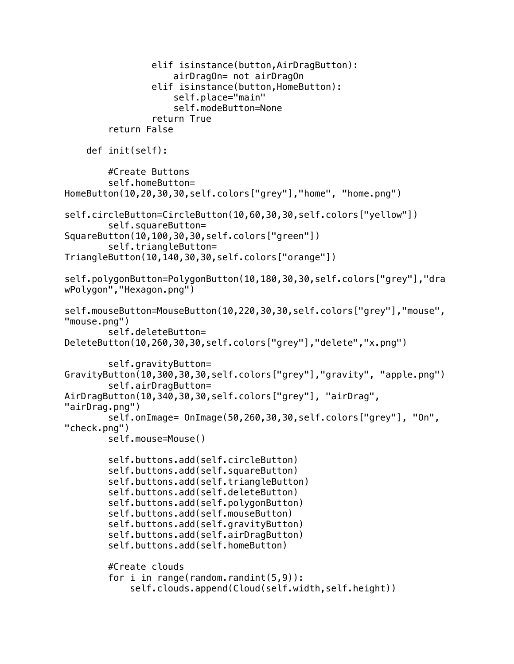```
 elif isinstance(button,AirDragButton):
                      airDragOn= not airDragOn
                 elif isinstance(button,HomeButton):
                      self.place="main" 
                      self.modeButton=None 
                  return True
         return False
     def init(self):
         #Create Buttons
         self.homeButton= 
HomeButton(10,20,30,30,self.colors["grey"],"home", "home.png")
self.circleButton=CircleButton(10,60,30,30,self.colors["yellow"])
         self.squareButton= 
SquareButton(10,100,30,30,self.colors["green"])
         self.triangleButton= 
TriangleButton(10,140,30,30,self.colors["orange"])
self.polygonButton=PolygonButton(10,180,30,30,self.colors["grey"],"dra
wPolygon","Hexagon.png")
self.mouseButton=MouseButton(10,220,30,30,self.colors["grey"],"mouse",
"mouse.png")
         self.deleteButton= 
DeleteButton(10,260,30,30,self.colors["grey"],"delete","x.png")
         self.gravityButton= 
GravityButton(10,300,30,30,self.colors["grey"],"gravity", "apple.png")
         self.airDragButton= 
AirDragButton(10,340,30,30,self.colors["grey"], "airDrag", 
"airDrag.png")
         self.onImage= OnImage(50,260,30,30,self.colors["grey"], "On", 
"check.png")
         self.mouse=Mouse()
         self.buttons.add(self.circleButton)
         self.buttons.add(self.squareButton)
         self.buttons.add(self.triangleButton)
         self.buttons.add(self.deleteButton)
         self.buttons.add(self.polygonButton)
         self.buttons.add(self.mouseButton)
         self.buttons.add(self.gravityButton)
         self.buttons.add(self.airDragButton)
         self.buttons.add(self.homeButton)
         #Create clouds
        for i in range(random.randint(5,9)):
             self.clouds.append(Cloud(self.width,self.height))
```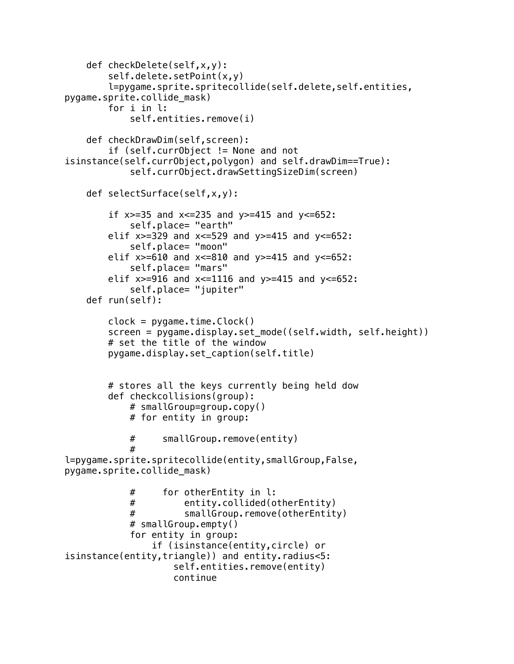```
 def checkDelete(self,x,y):
         self.delete.setPoint(x,y)
         l=pygame.sprite.spritecollide(self.delete,self.entities, 
pygame.sprite.collide_mask)
         for i in l:
             self.entities.remove(i)
     def checkDrawDim(self,screen):
         if (self.currObject != None and not 
isinstance(self.currObject,polygon) and self.drawDim==True):
             self.currObject.drawSettingSizeDim(screen)
     def selectSurface(self,x,y):
        if x>=35 and x<=235 and y>=415 and y<=652:
             self.place= "earth"
        elif x>=329 and x<=529 and y>=415 and y<=652:
             self.place= "moon"
        elif x \ge -610 and x \le -810 and y \ge -415 and y \le -652:
             self.place= "mars"
        elif x \ge -916 and x \le -1116 and y \ge -415 and y \le -652:
             self.place= "jupiter"
     def run(self):
        clock = pygame.time.Clock() screen = pygame.display.set_mode((self.width, self.height))
         # set the title of the window
         pygame.display.set_caption(self.title)
         # stores all the keys currently being held dow
         def checkcollisions(group):
             # smallGroup=group.copy()
             # for entity in group:
             # smallGroup.remove(entity)
 # 
l=pygame.sprite.spritecollide(entity,smallGroup,False, 
pygame.sprite.collide_mask)
             # for otherEntity in l:
             # entity.collided(otherEntity)
             # smallGroup.remove(otherEntity)
             # smallGroup.empty()
             for entity in group:
                 if (isinstance(entity,circle) or 
isinstance(entity,triangle)) and entity.radius<5: 
                     self.entities.remove(entity)
                     continue
```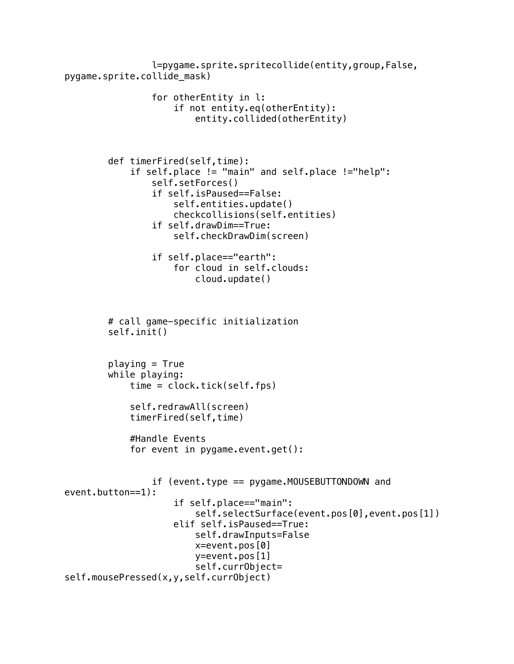```
 l=pygame.sprite.spritecollide(entity,group,False, 
pygame.sprite.collide_mask)
                  for otherEntity in l:
                      if not entity.eq(otherEntity):
                          entity.collided(otherEntity)
         def timerFired(self,time):
             if self.place != "main" and self.place !="help":
                  self.setForces()
                  if self.isPaused==False:
                      self.entities.update()
                      checkcollisions(self.entities)
                  if self.drawDim==True:
                      self.checkDrawDim(screen)
                  if self.place=="earth":
                      for cloud in self.clouds:
                          cloud.update()
         # call game-specific initialization
         self.init()
        playing = True while playing:
             time = clock.tick(self.fps)
             self.redrawAll(screen)
             timerFired(self,time)
             #Handle Events
            for event in pygame.event.get():
                  if (event.type == pygame.MOUSEBUTTONDOWN and 
event.button==1):
                      if self.place=="main":
                          self.selectSurface(event.pos[0],event.pos[1]) 
                      elif self.isPaused==True:
                          self.drawInputs=False
                          x=event.pos[0]
                          y=event.pos[1]
                          self.currObject= 
self.mousePressed(x,y,self.currObject)
```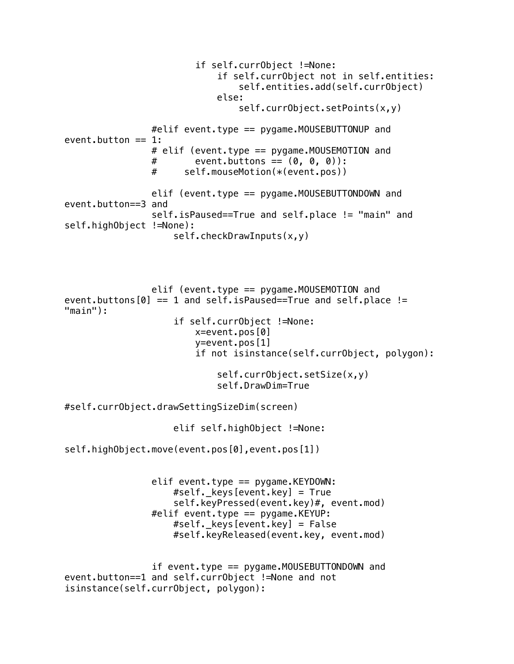if self.currObject !=None: if self.currObject not in self.entities: self.entities.add(self.currObject) else: self.currObject.setPoints(x,y) #elif event.type == pygame.MOUSEBUTTONUP and event.button  $== 1$ : # elif (event.type == pygame.MOUSEMOTION and  $#$  event.buttons ==  $(0, 0, 0)$ : # self.mouseMotion(\*(event.pos)) elif (event.type == pygame.MOUSEBUTTONDOWN and event.button==3 and self.isPaused==True and self.place != "main" and self.highObject !=None): self.checkDrawInputs(x,y) elif (event.type == pygame.MOUSEMOTION and event.buttons $[0] == 1$  and self.isPaused==True and self.place != "main"): if self.currObject !=None: x=event.pos[0] y=event.pos[1] if not isinstance(self.currObject, polygon): self.currObject.setSize(x,y) self.DrawDim=True #self.currObject.drawSettingSizeDim(screen) elif self.highObject !=None: self.highObject.move(event.pos[0],event.pos[1]) elif event.type  $==$  pygame.KEYDOWN: #self. keys[event.key] =  $True$  self.keyPressed(event.key)#, event.mod)  $#$ elif event.type == pygame.KEYUP: #self. keys[event.key] = False #self.keyReleased(event.key, event.mod) if event.type == pygame.MOUSEBUTTONDOWN and event.button==1 and self.currObject !=None and not isinstance(self.currObject, polygon):